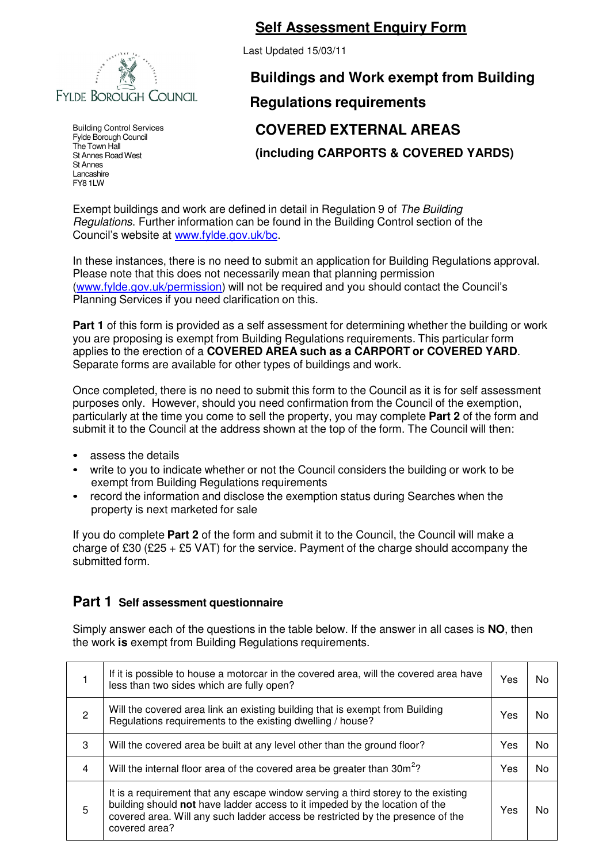

Building Control Services Fylde Borough Council The Town Hall St Annes Road West St Annes Lancashire FY8 1LW

## **Self Assessment Enquiry Form**

Last Updated 15/03/11

## **Buildings and Work exempt from Building Regulations requirements COVERED EXTERNAL AREAS (including CARPORTS & COVERED YARDS)**

Exempt buildings and work are defined in detail in Regulation 9 of The Building Regulations. Further information can be found in the Building Control section of the Council's website at www.fylde.gov.uk/bc.

In these instances, there is no need to submit an application for Building Regulations approval. Please note that this does not necessarily mean that planning permission (www.fylde.gov.uk/permission) will not be required and you should contact the Council's Planning Services if you need clarification on this.

**Part 1** of this form is provided as a self assessment for determining whether the building or work you are proposing is exempt from Building Regulations requirements. This particular form applies to the erection of a **COVERED AREA such as a CARPORT or COVERED YARD**. Separate forms are available for other types of buildings and work.

Once completed, there is no need to submit this form to the Council as it is for self assessment purposes only. However, should you need confirmation from the Council of the exemption, particularly at the time you come to sell the property, you may complete **Part 2** of the form and submit it to the Council at the address shown at the top of the form. The Council will then:

- assess the details
- write to you to indicate whether or not the Council considers the building or work to be exempt from Building Regulations requirements
- record the information and disclose the exemption status during Searches when the property is next marketed for sale

If you do complete **Part 2** of the form and submit it to the Council, the Council will make a charge of £30 (£25 + £5 VAT) for the service. Payment of the charge should accompany the submitted form.

## **Part 1 Self assessment questionnaire**

Simply answer each of the questions in the table below. If the answer in all cases is **NO**, then the work **is** exempt from Building Regulations requirements.

|   | If it is possible to house a motorcar in the covered area, will the covered area have<br>less than two sides which are fully open?                                                                                                                                  | Yes | N٥ |
|---|---------------------------------------------------------------------------------------------------------------------------------------------------------------------------------------------------------------------------------------------------------------------|-----|----|
| 2 | Will the covered area link an existing building that is exempt from Building<br>Regulations requirements to the existing dwelling / house?                                                                                                                          | Yes | N٥ |
| 3 | Will the covered area be built at any level other than the ground floor?                                                                                                                                                                                            | Yes | No |
| 4 | Will the internal floor area of the covered area be greater than 30m <sup>2</sup> ?                                                                                                                                                                                 | Yes | No |
| 5 | It is a requirement that any escape window serving a third storey to the existing<br>building should not have ladder access to it impeded by the location of the<br>covered area. Will any such ladder access be restricted by the presence of the<br>covered area? | Yes | N٥ |